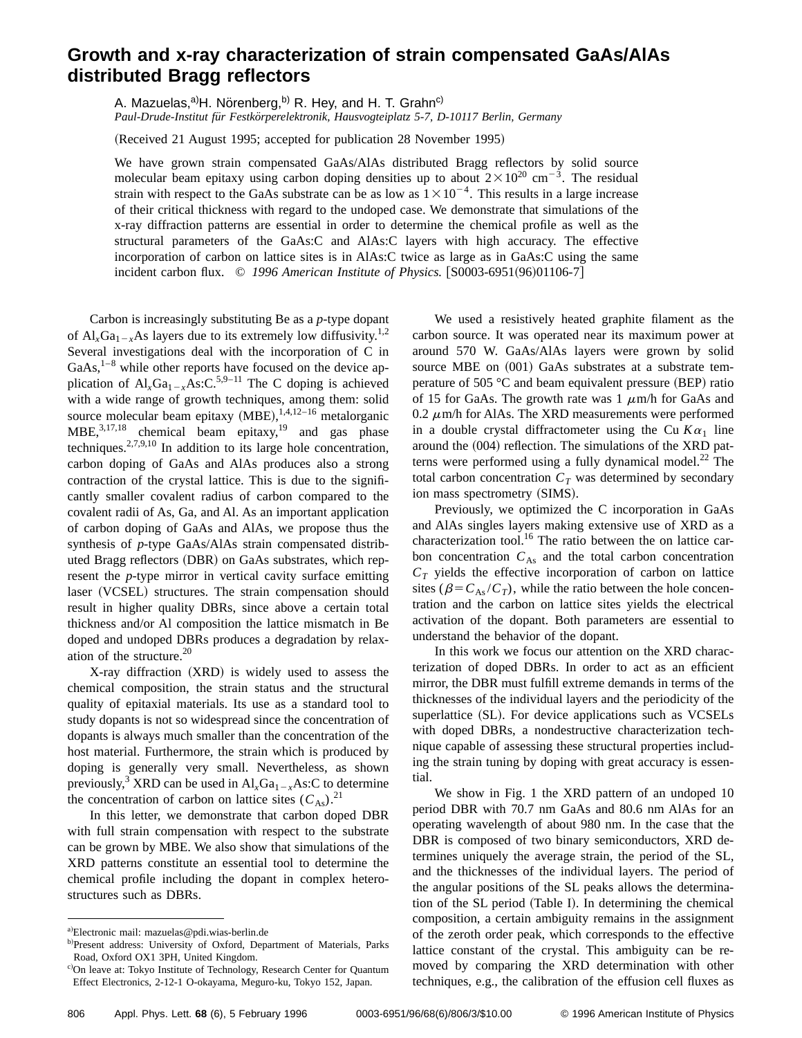## **Growth and x-ray characterization of strain compensated GaAs/AlAs distributed Bragg reflectors**

A. Mazuelas,<sup>a)</sup>H. Noïrenberg,<sup>b)</sup> R. Hey, and H. T. Grahn<sup>c)</sup>

*Paul-Drude-Institut fu¨r Festko¨rperelektronik, Hausvogteiplatz 5-7, D-10117 Berlin, Germany*

(Received 21 August 1995; accepted for publication 28 November 1995)

We have grown strain compensated GaAs/AlAs distributed Bragg reflectors by solid source molecular beam epitaxy using carbon doping densities up to about  $2\times10^{20}$  cm<sup>-3</sup>. The residual strain with respect to the GaAs substrate can be as low as  $1 \times 10^{-4}$ . This results in a large increase of their critical thickness with regard to the undoped case. We demonstrate that simulations of the x-ray diffraction patterns are essential in order to determine the chemical profile as well as the structural parameters of the GaAs:C and AlAs:C layers with high accuracy. The effective incorporation of carbon on lattice sites is in AlAs:C twice as large as in GaAs:C using the same incident carbon flux. © 1996 American Institute of Physics. [S0003-6951(96)01106-7]

Carbon is increasingly substituting Be as a *p*-type dopant of  $Al_xGa_{1-x}As$  layers due to its extremely low diffusivity.<sup>1,2</sup> Several investigations deal with the incorporation of C in  $GaAs$ ,<sup>1–8</sup> while other reports have focused on the device application of  $Al_xGa_{1-x}As:C^{5,9-11}$  The C doping is achieved with a wide range of growth techniques, among them: solid source molecular beam epitaxy  $(MBE),<sup>1,4,12-16</sup>$  metalorganic  $MBE$ ,  $^{3,17,18}$  chemical beam epitaxy,  $^{19}$  and gas phase techniques.2,7,9,10 In addition to its large hole concentration, carbon doping of GaAs and AlAs produces also a strong contraction of the crystal lattice. This is due to the significantly smaller covalent radius of carbon compared to the covalent radii of As, Ga, and Al. As an important application of carbon doping of GaAs and AlAs, we propose thus the synthesis of *p*-type GaAs/AlAs strain compensated distributed Bragg reflectors (DBR) on GaAs substrates, which represent the *p*-type mirror in vertical cavity surface emitting laser (VCSEL) structures. The strain compensation should result in higher quality DBRs, since above a certain total thickness and/or Al composition the lattice mismatch in Be doped and undoped DBRs produces a degradation by relaxation of the structure.20

 $X$ -ray diffraction  $(XRD)$  is widely used to assess the chemical composition, the strain status and the structural quality of epitaxial materials. Its use as a standard tool to study dopants is not so widespread since the concentration of dopants is always much smaller than the concentration of the host material. Furthermore, the strain which is produced by doping is generally very small. Nevertheless, as shown previously,<sup>3</sup> XRD can be used in  $Al_xGa_{1-x}As:C$  to determine the concentration of carbon on lattice sites  $(C_{As})$ .<sup>21</sup>

In this letter, we demonstrate that carbon doped DBR with full strain compensation with respect to the substrate can be grown by MBE. We also show that simulations of the XRD patterns constitute an essential tool to determine the chemical profile including the dopant in complex heterostructures such as DBRs.

We used a resistively heated graphite filament as the carbon source. It was operated near its maximum power at around 570 W. GaAs/AlAs layers were grown by solid source MBE on  $(001)$  GaAs substrates at a substrate temperature of 505  $\degree$ C and beam equivalent pressure (BEP) ratio of 15 for GaAs. The growth rate was  $1 \mu$ m/h for GaAs and 0.2  $\mu$ m/h for AlAs. The XRD measurements were performed in a double crystal diffractometer using the Cu  $K\alpha_1$  line around the  $(004)$  reflection. The simulations of the XRD patterns were performed using a fully dynamical model. $^{22}$  The total carbon concentration  $C_T$  was determined by secondary ion mass spectrometry (SIMS).

Previously, we optimized the C incorporation in GaAs and AlAs singles layers making extensive use of XRD as a characterization tool.<sup>16</sup> The ratio between the on lattice carbon concentration  $C_{As}$  and the total carbon concentration  $C_T$  yields the effective incorporation of carbon on lattice sites ( $\beta = C_{As}/C_T$ ), while the ratio between the hole concentration and the carbon on lattice sites yields the electrical activation of the dopant. Both parameters are essential to understand the behavior of the dopant.

In this work we focus our attention on the XRD characterization of doped DBRs. In order to act as an efficient mirror, the DBR must fulfill extreme demands in terms of the thicknesses of the individual layers and the periodicity of the superlattice (SL). For device applications such as VCSELs with doped DBRs, a nondestructive characterization technique capable of assessing these structural properties including the strain tuning by doping with great accuracy is essential.

We show in Fig. 1 the XRD pattern of an undoped 10 period DBR with 70.7 nm GaAs and 80.6 nm AlAs for an operating wavelength of about 980 nm. In the case that the DBR is composed of two binary semiconductors, XRD determines uniquely the average strain, the period of the SL, and the thicknesses of the individual layers. The period of the angular positions of the SL peaks allows the determination of the SL period (Table I). In determining the chemical composition, a certain ambiguity remains in the assignment of the zeroth order peak, which corresponds to the effective lattice constant of the crystal. This ambiguity can be removed by comparing the XRD determination with other techniques, e.g., the calibration of the effusion cell fluxes as

a)Electronic mail: mazuelas@pdi.wias-berlin.de

b)Present address: University of Oxford, Department of Materials, Parks Road, Oxford OX1 3PH, United Kingdom.

c)On leave at: Tokyo Institute of Technology, Research Center for Quantum Effect Electronics, 2-12-1 O-okayama, Meguro-ku, Tokyo 152, Japan.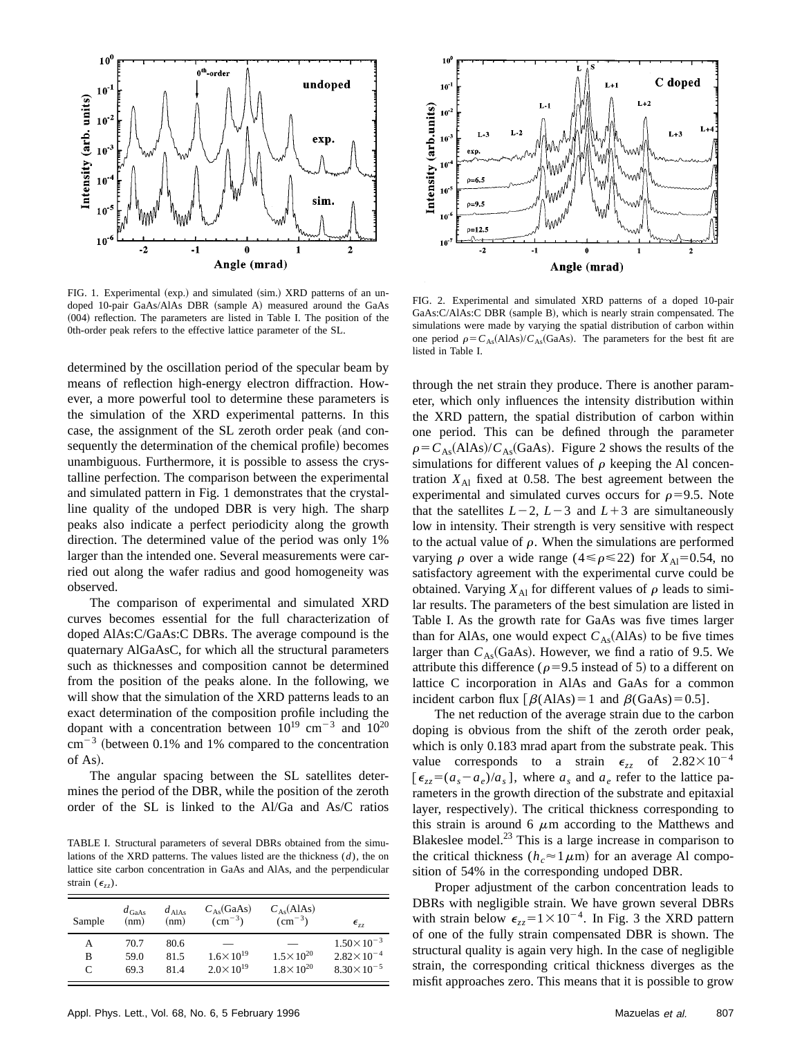

FIG. 1. Experimental (exp.) and simulated (sim.) XRD patterns of an undoped 10-pair GaAs/AlAs DBR (sample A) measured around the GaAs  $(004)$  reflection. The parameters are listed in Table I. The position of the 0th-order peak refers to the effective lattice parameter of the SL.

determined by the oscillation period of the specular beam by means of reflection high-energy electron diffraction. However, a more powerful tool to determine these parameters is the simulation of the XRD experimental patterns. In this case, the assignment of the SL zeroth order peak (and consequently the determination of the chemical profile) becomes unambiguous. Furthermore, it is possible to assess the crystalline perfection. The comparison between the experimental and simulated pattern in Fig. 1 demonstrates that the crystalline quality of the undoped DBR is very high. The sharp peaks also indicate a perfect periodicity along the growth direction. The determined value of the period was only 1% larger than the intended one. Several measurements were carried out along the wafer radius and good homogeneity was observed.

The comparison of experimental and simulated XRD curves becomes essential for the full characterization of doped AlAs:C/GaAs:C DBRs. The average compound is the quaternary AlGaAsC, for which all the structural parameters such as thicknesses and composition cannot be determined from the position of the peaks alone. In the following, we will show that the simulation of the XRD patterns leads to an exact determination of the composition profile including the dopant with a concentration between  $10^{19}$  cm<sup>-3</sup> and  $10^{20}$  $cm^{-3}$  (between 0.1% and 1% compared to the concentration of As).

The angular spacing between the SL satellites determines the period of the DBR, while the position of the zeroth order of the SL is linked to the Al/Ga and As/C ratios

TABLE I. Structural parameters of several DBRs obtained from the simulations of the XRD patterns. The values listed are the thickness (*d*), the on lattice site carbon concentration in GaAs and AlAs, and the perpendicular strain  $(\epsilon_{zz})$ .

| Sample    | $d_{\text{GaAs}}$<br>(nm) | $d_{\text{AlAs}}$<br>(nm) | $C_{As}$ (GaAs)<br>$\rm (cm^{-3})$ | $C_{As}(AIAs)$<br>$\rm (cm^{-3})$ | $\epsilon_{zz}$       |
|-----------|---------------------------|---------------------------|------------------------------------|-----------------------------------|-----------------------|
| А         | 70.7                      | 80.6                      |                                    |                                   | $1.50 \times 10^{-3}$ |
| в         | 59.0                      | 81.5                      | $1.6 \times 10^{19}$               | $1.5 \times 10^{20}$              | $2.82 \times 10^{-4}$ |
| $\subset$ | 69.3                      | 81.4                      | $2.0 \times 10^{19}$               | $1.8 \times 10^{20}$              | $8.30 \times 10^{-5}$ |



FIG. 2. Experimental and simulated XRD patterns of a doped 10-pair GaAs:C/AlAs:C DBR (sample B), which is nearly strain compensated. The simulations were made by varying the spatial distribution of carbon within one period  $\rho = C_{As}(AIAs)/C_{As}(GaAs)$ . The parameters for the best fit are listed in Table I.

through the net strain they produce. There is another parameter, which only influences the intensity distribution within the XRD pattern, the spatial distribution of carbon within one period. This can be defined through the parameter  $\rho = C_{As}(AIAs)/C_{As}(GaAs)$ . Figure 2 shows the results of the simulations for different values of  $\rho$  keeping the Al concentration  $X_{\text{Al}}$  fixed at 0.58. The best agreement between the experimental and simulated curves occurs for  $\rho$ =9.5. Note that the satellites  $L-2$ ,  $L-3$  and  $L+3$  are simultaneously low in intensity. Their strength is very sensitive with respect to the actual value of  $\rho$ . When the simulations are performed varying  $\rho$  over a wide range (4  $\leq \rho \leq 22$ ) for *X*<sub>Al</sub>=0.54, no satisfactory agreement with the experimental curve could be obtained. Varying  $X_{\text{Al}}$  for different values of  $\rho$  leads to similar results. The parameters of the best simulation are listed in Table I. As the growth rate for GaAs was five times larger than for AlAs, one would expect  $C_{As}(AIAs)$  to be five times larger than  $C_{As}$ (GaAs). However, we find a ratio of 9.5. We attribute this difference ( $\rho$ =9.5 instead of 5) to a different on lattice C incorporation in AlAs and GaAs for a common incident carbon flux  $[\beta(AlAs)=1$  and  $\beta(GaAs)=0.5]$ .

The net reduction of the average strain due to the carbon doping is obvious from the shift of the zeroth order peak, which is only 0.183 mrad apart from the substrate peak. This value corresponds to a strain  $\epsilon_{zz}$  of  $2.82 \times 10^{-4}$  $\epsilon_{zz} = (a_s - a_e)/a_s$ , where  $a_s$  and  $a_e$  refer to the lattice parameters in the growth direction of the substrate and epitaxial layer, respectively). The critical thickness corresponding to this strain is around 6  $\mu$ m according to the Matthews and Blakeslee model. $^{23}$  This is a large increase in comparison to the critical thickness ( $h_c \approx 1 \,\mu\text{m}$ ) for an average Al composition of 54% in the corresponding undoped DBR.

Proper adjustment of the carbon concentration leads to DBRs with negligible strain. We have grown several DBRs with strain below  $\epsilon_{zz} = 1 \times 10^{-4}$ . In Fig. 3 the XRD pattern of one of the fully strain compensated DBR is shown. The structural quality is again very high. In the case of negligible strain, the corresponding critical thickness diverges as the misfit approaches zero. This means that it is possible to grow